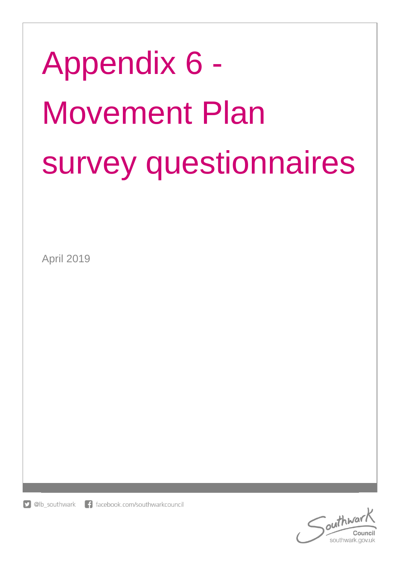# Appendix 6 - Movement Plan survey questionnaires

April 2019

 $\Box$  @lb southwark f facebook.com/southwarkcouncil

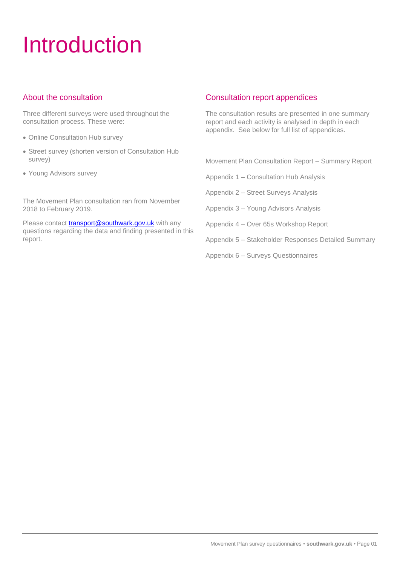# Introduction

# About the consultation

Three different surveys were used throughout the consultation process. These were:

- Online Consultation Hub survey
- Street survey (shorten version of Consultation Hub survey)
- Young Advisors survey

The Movement Plan consultation ran from November 2018 to February 2019.

Please contact [transport@southwark.gov.uk](mailto:transport@southwark.gov.uk) with any questions regarding the data and finding presented in this report.

# Consultation report appendices

The consultation results are presented in one summary report and each activity is analysed in depth in each appendix. See below for full list of appendices.

Movement Plan Consultation Report – Summary Report

Appendix 1 – Consultation Hub Analysis

Appendix 2 – Street Surveys Analysis

Appendix 3 – Young Advisors Analysis

Appendix 4 – Over 65s Workshop Report

Appendix 5 – Stakeholder Responses Detailed Summary

Appendix 6 – Surveys Questionnaires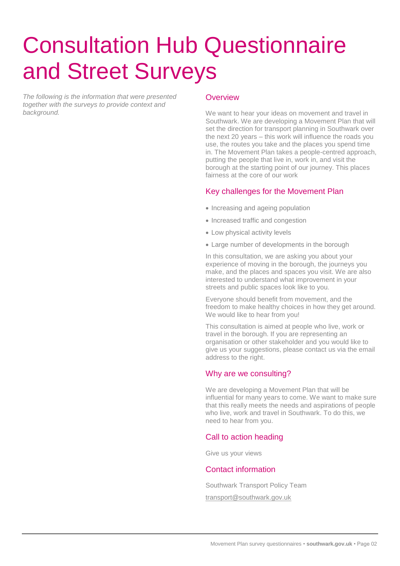# Consultation Hub Questionnaire and Street Surveys

*The following is the information that were presented together with the surveys to provide context and background.* 

#### **Overview**

We want to hear your ideas on movement and travel in Southwark. We are developing a Movement Plan that will set the direction for transport planning in Southwark over the next 20 years – this work will influence the roads you use, the routes you take and the places you spend time in. The Movement Plan takes a people-centred approach, putting the people that live in, work in, and visit the borough at the starting point of our journey. This places fairness at the core of our work

### Key challenges for the Movement Plan

- Increasing and ageing population
- Increased traffic and congestion
- Low physical activity levels
- Large number of developments in the borough

In this consultation, we are asking you about your experience of moving in the borough, the journeys you make, and the places and spaces you visit. We are also interested to understand what improvement in your streets and public spaces look like to you.

Everyone should benefit from movement, and the freedom to make healthy choices in how they get around. We would like to hear from you!

This consultation is aimed at people who live, work or travel in the borough. If you are representing an organisation or other stakeholder and you would like to give us your suggestions, please contact us via the email address to the right.

# Why are we consulting?

We are developing a Movement Plan that will be influential for many years to come. We want to make sure that this really meets the needs and aspirations of people who live, work and travel in Southwark. To do this, we need to hear from you.

# Call to action heading

Give us your views

#### Contact information

Southwark Transport Policy Team [transport@southwark.gov.uk](mailto:transport@southwark.gov.uk)

Movement Plan survey questionnaires • **southwark.gov.uk** • Page 02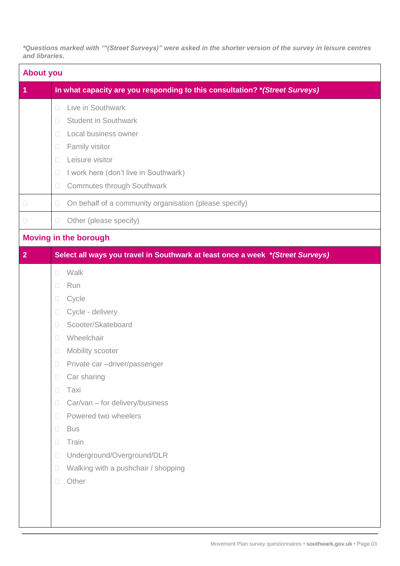*\*Questions marked with "\*(Street Surveys)" were asked in the shorter version of the survey in leisure centres and libraries.* 

| <b>About you</b>     |                                                                                                                                                                                                                                                                                                                                                                                                                                                                                                    |  |  |  |
|----------------------|----------------------------------------------------------------------------------------------------------------------------------------------------------------------------------------------------------------------------------------------------------------------------------------------------------------------------------------------------------------------------------------------------------------------------------------------------------------------------------------------------|--|--|--|
| $\blacktriangleleft$ | In what capacity are you responding to this consultation? * (Street Surveys)                                                                                                                                                                                                                                                                                                                                                                                                                       |  |  |  |
|                      | Live in Southwark<br>$\Box$<br><b>Student in Southwark</b><br>$\Box$<br>Local business owner<br>$\Box$<br>Family visitor<br>$\Box$<br>Leisure visitor<br>$\Box$<br>I work here (don't live in Southwark)<br>$\Box$<br><b>Commutes through Southwark</b><br>$\Box$                                                                                                                                                                                                                                  |  |  |  |
| $\Box$               | On behalf of a community organisation (please specify)<br>$\Box$                                                                                                                                                                                                                                                                                                                                                                                                                                   |  |  |  |
| $\Box$               | Other (please specify)<br>$\Box$                                                                                                                                                                                                                                                                                                                                                                                                                                                                   |  |  |  |
|                      | <b>Moving in the borough</b>                                                                                                                                                                                                                                                                                                                                                                                                                                                                       |  |  |  |
| $\overline{2}$       | Select all ways you travel in Southwark at least once a week *(Street Surveys)                                                                                                                                                                                                                                                                                                                                                                                                                     |  |  |  |
|                      | Walk<br>$\Box$<br>Run<br>$\Box$<br>Cycle<br>$\Box$<br>Cycle - delivery<br>$\Box$<br>Scooter/Skateboard<br>$\Box$<br>Wheelchair<br>$\Box$<br>Mobility scooter<br>$\Box$<br>$\Box$<br>Private car -driver/passenger<br>Car sharing<br>$\Box$<br>Taxi<br>$\Box$<br>Car/van - for delivery/business<br>$\Box$<br>Powered two wheelers<br>$\Box$<br><b>Bus</b><br>$\Box$<br>Train<br>$\Box$<br>Underground/Overground/DLR<br>$\Box$<br>Walking with a pushchair / shopping<br>$\Box$<br>Other<br>$\Box$ |  |  |  |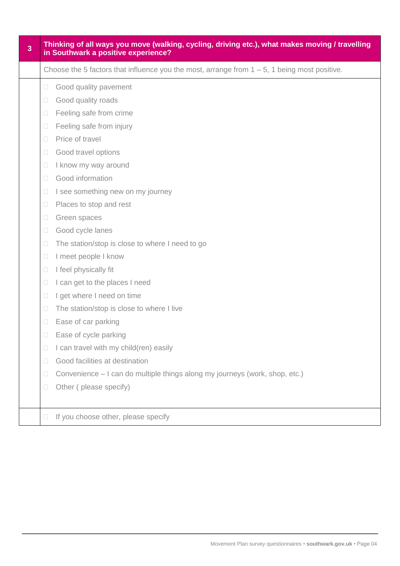| $\overline{3}$ | Thinking of all ways you move (walking, cycling, driving etc.), what makes moving / travelling<br>in Southwark a positive experience?                                                                                                                                                                                                                                                                                                                                                                                                                                                                                                                                                                                                                                                                                                                                                                                                                          |  |  |  |  |  |
|----------------|----------------------------------------------------------------------------------------------------------------------------------------------------------------------------------------------------------------------------------------------------------------------------------------------------------------------------------------------------------------------------------------------------------------------------------------------------------------------------------------------------------------------------------------------------------------------------------------------------------------------------------------------------------------------------------------------------------------------------------------------------------------------------------------------------------------------------------------------------------------------------------------------------------------------------------------------------------------|--|--|--|--|--|
|                | Choose the 5 factors that influence you the most, arrange from $1 - 5$ , 1 being most positive.                                                                                                                                                                                                                                                                                                                                                                                                                                                                                                                                                                                                                                                                                                                                                                                                                                                                |  |  |  |  |  |
|                | Good quality pavement<br>$\Box$<br>Good quality roads<br>$\Box$<br>Feeling safe from crime<br>$\Box$<br>Feeling safe from injury<br>$\Box$<br>Price of travel<br>$\Box$<br>Good travel options<br>$\Box$<br>I know my way around<br>$\Box$<br>Good information<br>$\Box$<br>I see something new on my journey<br>$\Box$<br>Places to stop and rest<br>$\Box$<br>Green spaces<br>$\Box$<br>Good cycle lanes<br>$\Box$<br>The station/stop is close to where I need to go<br>$\Box$<br>I meet people I know<br>$\Box$<br>I feel physically fit<br>$\Box$<br>I can get to the places I need<br>$\Box$<br>I get where I need on time<br>$\Box$<br>The station/stop is close to where I live<br>$\Box$<br>Ease of car parking<br>$\Box$<br>Ease of cycle parking<br>$\Box$<br>I can travel with my child(ren) easily<br>$\Box$<br>Good facilities at destination<br>$\Box$<br>Convenience – I can do multiple things along my journeys (work, shop, etc.)<br>$\Box$ |  |  |  |  |  |
|                | Other (please specify)<br>$\Box$                                                                                                                                                                                                                                                                                                                                                                                                                                                                                                                                                                                                                                                                                                                                                                                                                                                                                                                               |  |  |  |  |  |
|                | If you choose other, please specify<br>$\Box$                                                                                                                                                                                                                                                                                                                                                                                                                                                                                                                                                                                                                                                                                                                                                                                                                                                                                                                  |  |  |  |  |  |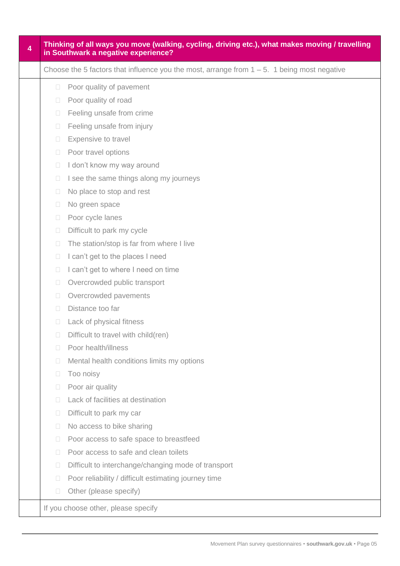| $\overline{\mathbf{4}}$ | Thinking of all ways you move (walking, cycling, driving etc.), what makes moving / travelling<br>in Southwark a negative experience? |                                                                                                |  |  |  |  |  |
|-------------------------|---------------------------------------------------------------------------------------------------------------------------------------|------------------------------------------------------------------------------------------------|--|--|--|--|--|
|                         |                                                                                                                                       | Choose the 5 factors that influence you the most, arrange from $1 - 5$ . 1 being most negative |  |  |  |  |  |
|                         | $\Box$                                                                                                                                | Poor quality of pavement                                                                       |  |  |  |  |  |
|                         | $\Box$                                                                                                                                | Poor quality of road                                                                           |  |  |  |  |  |
|                         | $\Box$                                                                                                                                | Feeling unsafe from crime                                                                      |  |  |  |  |  |
|                         | $\Box$                                                                                                                                | Feeling unsafe from injury                                                                     |  |  |  |  |  |
|                         | $\Box$                                                                                                                                | Expensive to travel                                                                            |  |  |  |  |  |
|                         | $\Box$                                                                                                                                | Poor travel options                                                                            |  |  |  |  |  |
|                         | $\Box$                                                                                                                                | I don't know my way around                                                                     |  |  |  |  |  |
|                         | $\Box$                                                                                                                                | I see the same things along my journeys                                                        |  |  |  |  |  |
|                         | $\Box$                                                                                                                                | No place to stop and rest                                                                      |  |  |  |  |  |
|                         | $\Box$                                                                                                                                | No green space                                                                                 |  |  |  |  |  |
|                         | $\Box$                                                                                                                                | Poor cycle lanes                                                                               |  |  |  |  |  |
|                         | $\Box$                                                                                                                                | Difficult to park my cycle                                                                     |  |  |  |  |  |
|                         | $\Box$                                                                                                                                | The station/stop is far from where I live                                                      |  |  |  |  |  |
|                         | $\Box$                                                                                                                                | I can't get to the places I need                                                               |  |  |  |  |  |
|                         | $\Box$                                                                                                                                | I can't get to where I need on time                                                            |  |  |  |  |  |
|                         | $\Box$                                                                                                                                | Overcrowded public transport                                                                   |  |  |  |  |  |
|                         | $\Box$                                                                                                                                | Overcrowded pavements                                                                          |  |  |  |  |  |
|                         | $\Box$                                                                                                                                | Distance too far                                                                               |  |  |  |  |  |
|                         | $\Box$                                                                                                                                | Lack of physical fitness                                                                       |  |  |  |  |  |
|                         | $\Box$                                                                                                                                | Difficult to travel with child(ren)                                                            |  |  |  |  |  |
|                         | П                                                                                                                                     | Poor health/illness                                                                            |  |  |  |  |  |
|                         | $\Box$                                                                                                                                | Mental health conditions limits my options                                                     |  |  |  |  |  |
|                         | $\Box$                                                                                                                                | Too noisy                                                                                      |  |  |  |  |  |
|                         | $\Box$                                                                                                                                | Poor air quality                                                                               |  |  |  |  |  |
|                         | $\Box$                                                                                                                                | Lack of facilities at destination                                                              |  |  |  |  |  |
|                         | $\Box$                                                                                                                                | Difficult to park my car                                                                       |  |  |  |  |  |
|                         | $\Box$                                                                                                                                | No access to bike sharing                                                                      |  |  |  |  |  |
|                         | $\Box$                                                                                                                                | Poor access to safe space to breastfeed                                                        |  |  |  |  |  |
|                         | $\Box$                                                                                                                                | Poor access to safe and clean toilets                                                          |  |  |  |  |  |
|                         | $\Box$                                                                                                                                | Difficult to interchange/changing mode of transport                                            |  |  |  |  |  |
|                         | $\Box$                                                                                                                                | Poor reliability / difficult estimating journey time                                           |  |  |  |  |  |
|                         | $\Box$                                                                                                                                | Other (please specify)                                                                         |  |  |  |  |  |
|                         |                                                                                                                                       | If you choose other, please specify                                                            |  |  |  |  |  |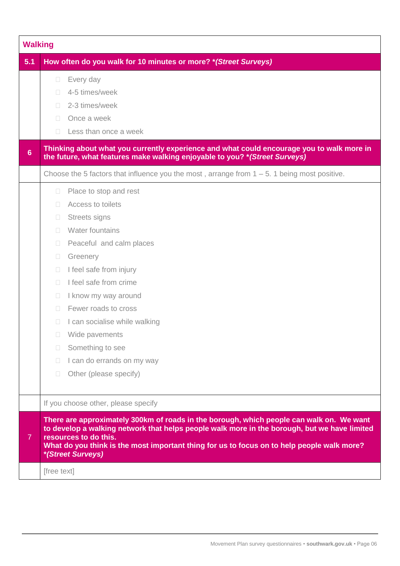|                | <b>Walking</b>                                                                                                                                                                                                                                                                                                                                                                                                                                                                        |  |  |  |  |
|----------------|---------------------------------------------------------------------------------------------------------------------------------------------------------------------------------------------------------------------------------------------------------------------------------------------------------------------------------------------------------------------------------------------------------------------------------------------------------------------------------------|--|--|--|--|
| 5.1            | How often do you walk for 10 minutes or more? * (Street Surveys)                                                                                                                                                                                                                                                                                                                                                                                                                      |  |  |  |  |
|                | Every day<br>$\Box$<br>4-5 times/week<br>$\Box$<br>2-3 times/week<br>П<br>Once a week<br>$\Box$<br>Less than once a week<br>П                                                                                                                                                                                                                                                                                                                                                         |  |  |  |  |
| $6\phantom{a}$ | Thinking about what you currently experience and what could encourage you to walk more in<br>the future, what features make walking enjoyable to you? * (Street Surveys)                                                                                                                                                                                                                                                                                                              |  |  |  |  |
|                | Choose the 5 factors that influence you the most, arrange from $1 - 5$ . 1 being most positive.                                                                                                                                                                                                                                                                                                                                                                                       |  |  |  |  |
|                | Place to stop and rest<br>$\Box$<br>Access to toilets<br>П<br><b>Streets signs</b><br>$\Box$<br>Water fountains<br>П<br>Peaceful and calm places<br>П<br>Greenery<br>$\Box$<br>I feel safe from injury<br>П<br>I feel safe from crime<br>$\Box$<br>I know my way around<br>$\Box$<br>Fewer roads to cross<br>$\Box$<br>I can socialise while walking<br>П<br>Wide pavements<br>$\Box$<br>Something to see<br>П<br>I can do errands on my way<br>П<br>Other (please specify)<br>$\Box$ |  |  |  |  |
|                | If you choose other, please specify                                                                                                                                                                                                                                                                                                                                                                                                                                                   |  |  |  |  |
| $\overline{7}$ | There are approximately 300km of roads in the borough, which people can walk on. We want<br>to develop a walking network that helps people walk more in the borough, but we have limited<br>resources to do this.<br>What do you think is the most important thing for us to focus on to help people walk more?<br>*(Street Surveys)                                                                                                                                                  |  |  |  |  |
|                | [free text]                                                                                                                                                                                                                                                                                                                                                                                                                                                                           |  |  |  |  |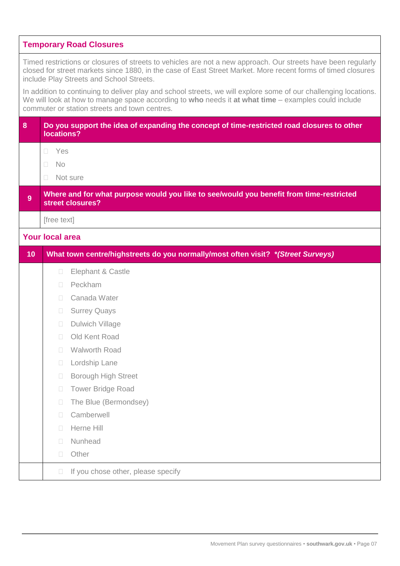|    | <b>Temporary Road Closures</b>                                                                                                                                                                                                                                            |
|----|---------------------------------------------------------------------------------------------------------------------------------------------------------------------------------------------------------------------------------------------------------------------------|
|    | Timed restrictions or closures of streets to vehicles are not a new approach. Our streets have been regularly<br>closed for street markets since 1880, in the case of East Street Market. More recent forms of timed closures<br>include Play Streets and School Streets. |
|    | In addition to continuing to deliver play and school streets, we will explore some of our challenging locations.<br>We will look at how to manage space according to who needs it at what time – examples could include<br>commuter or station streets and town centres.  |
| 8  | Do you support the idea of expanding the concept of time-restricted road closures to other<br>locations?                                                                                                                                                                  |
|    | Yes<br>$\Box$                                                                                                                                                                                                                                                             |
|    | <b>No</b><br>П                                                                                                                                                                                                                                                            |
|    | Not sure<br>П                                                                                                                                                                                                                                                             |
| 9  | Where and for what purpose would you like to see/would you benefit from time-restricted<br>street closures?                                                                                                                                                               |
|    | [free text]                                                                                                                                                                                                                                                               |
|    | <b>Your local area</b>                                                                                                                                                                                                                                                    |
| 10 | What town centre/highstreets do you normally/most often visit? *(Street Surveys)                                                                                                                                                                                          |
|    | Elephant & Castle<br>$\Box$                                                                                                                                                                                                                                               |
|    | Peckham<br>$\Box$                                                                                                                                                                                                                                                         |
|    | Canada Water<br>$\Box$                                                                                                                                                                                                                                                    |
|    | <b>Surrey Quays</b><br>$\Box$                                                                                                                                                                                                                                             |
|    | <b>Dulwich Village</b><br>$\Box$                                                                                                                                                                                                                                          |
|    |                                                                                                                                                                                                                                                                           |
|    | Old Kent Road<br>$\Box$                                                                                                                                                                                                                                                   |
|    | <b>Walworth Road</b><br>$\Box$                                                                                                                                                                                                                                            |
|    | Lordship Lane<br>$\Box$                                                                                                                                                                                                                                                   |
|    | <b>Borough High Street</b><br>$\Box$                                                                                                                                                                                                                                      |
|    | <b>Tower Bridge Road</b><br>$\Box$                                                                                                                                                                                                                                        |
|    | The Blue (Bermondsey)<br>$\Box$                                                                                                                                                                                                                                           |
|    | Camberwell<br>$\Box$                                                                                                                                                                                                                                                      |
|    | Herne Hill<br>П                                                                                                                                                                                                                                                           |
|    | Nunhead<br>$\Box$                                                                                                                                                                                                                                                         |
|    | Other<br>$\Box$                                                                                                                                                                                                                                                           |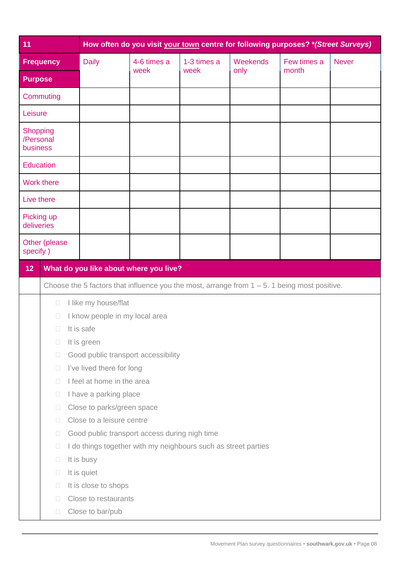| 11                                       |                   |                                                                                                 | How often do you visit your town centre for following purposes? *(Street Surveys) |             |          |             |              |  |  |
|------------------------------------------|-------------------|-------------------------------------------------------------------------------------------------|-----------------------------------------------------------------------------------|-------------|----------|-------------|--------------|--|--|
|                                          | <b>Frequency</b>  | <b>Daily</b>                                                                                    | 4-6 times a                                                                       | 1-3 times a | Weekends | Few times a | <b>Never</b> |  |  |
| <b>Purpose</b>                           |                   |                                                                                                 | week                                                                              | week        | only     | month       |              |  |  |
|                                          | Commuting         |                                                                                                 |                                                                                   |             |          |             |              |  |  |
| Leisure                                  |                   |                                                                                                 |                                                                                   |             |          |             |              |  |  |
| <b>Shopping</b><br>/Personal<br>business |                   |                                                                                                 |                                                                                   |             |          |             |              |  |  |
| <b>Education</b>                         |                   |                                                                                                 |                                                                                   |             |          |             |              |  |  |
|                                          | <b>Work there</b> |                                                                                                 |                                                                                   |             |          |             |              |  |  |
| Live there                               |                   |                                                                                                 |                                                                                   |             |          |             |              |  |  |
| Picking up<br>deliveries                 |                   |                                                                                                 |                                                                                   |             |          |             |              |  |  |
| Other (please<br>specify)                |                   |                                                                                                 |                                                                                   |             |          |             |              |  |  |
| 12                                       |                   | What do you like about where you live?                                                          |                                                                                   |             |          |             |              |  |  |
|                                          |                   | Choose the 5 factors that influence you the most, arrange from $1 - 5$ . 1 being most positive. |                                                                                   |             |          |             |              |  |  |
|                                          | $\Box$            | I like my house/flat                                                                            |                                                                                   |             |          |             |              |  |  |
|                                          | $\Box$            | I know people in my local area                                                                  |                                                                                   |             |          |             |              |  |  |
|                                          | $\Box$            | It is safe                                                                                      |                                                                                   |             |          |             |              |  |  |
|                                          | $\Box$            | It is green                                                                                     |                                                                                   |             |          |             |              |  |  |
|                                          | $\Box$            | Good public transport accessibility                                                             |                                                                                   |             |          |             |              |  |  |
|                                          | $\Box$            | I've lived there for long                                                                       |                                                                                   |             |          |             |              |  |  |
|                                          | П                 | I feel at home in the area                                                                      |                                                                                   |             |          |             |              |  |  |
|                                          | $\Box$            | I have a parking place                                                                          |                                                                                   |             |          |             |              |  |  |
|                                          | $\Box$            | Close to parks/green space                                                                      |                                                                                   |             |          |             |              |  |  |
|                                          | $\Box$            | Close to a leisure centre                                                                       |                                                                                   |             |          |             |              |  |  |
|                                          | $\Box$            | Good public transport access during nigh time                                                   |                                                                                   |             |          |             |              |  |  |
|                                          | $\Box$            | I do things together with my neighbours such as street parties                                  |                                                                                   |             |          |             |              |  |  |
|                                          | $\Box$            | It is busy                                                                                      |                                                                                   |             |          |             |              |  |  |
|                                          | $\Box$            | It is quiet                                                                                     |                                                                                   |             |          |             |              |  |  |
|                                          | $\Box$            | It is close to shops                                                                            |                                                                                   |             |          |             |              |  |  |
|                                          | П                 | Close to restaurants                                                                            |                                                                                   |             |          |             |              |  |  |
|                                          | $\Box$            | Close to bar/pub                                                                                |                                                                                   |             |          |             |              |  |  |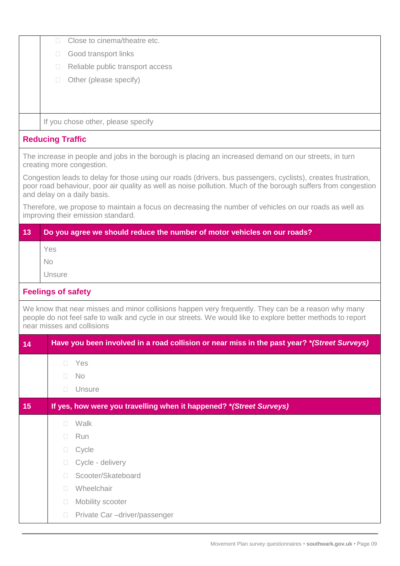|                 | Close to cinema/theatre etc.<br>$\Box$                                                                                                                                                                                                                        |
|-----------------|---------------------------------------------------------------------------------------------------------------------------------------------------------------------------------------------------------------------------------------------------------------|
|                 | Good transport links<br>$\Box$                                                                                                                                                                                                                                |
|                 | Reliable public transport access<br>$\Box$                                                                                                                                                                                                                    |
|                 | Other (please specify)<br>$\Box$                                                                                                                                                                                                                              |
|                 |                                                                                                                                                                                                                                                               |
|                 |                                                                                                                                                                                                                                                               |
|                 | If you chose other, please specify                                                                                                                                                                                                                            |
|                 | <b>Reducing Traffic</b>                                                                                                                                                                                                                                       |
|                 | The increase in people and jobs in the borough is placing an increased demand on our streets, in turn<br>creating more congestion.                                                                                                                            |
|                 | Congestion leads to delay for those using our roads (drivers, bus passengers, cyclists), creates frustration,<br>poor road behaviour, poor air quality as well as noise pollution. Much of the borough suffers from congestion<br>and delay on a daily basis. |
|                 | Therefore, we propose to maintain a focus on decreasing the number of vehicles on our roads as well as<br>improving their emission standard.                                                                                                                  |
| $\overline{13}$ | Do you agree we should reduce the number of motor vehicles on our roads?                                                                                                                                                                                      |
|                 | Yes                                                                                                                                                                                                                                                           |
|                 | <b>No</b>                                                                                                                                                                                                                                                     |
|                 | Unsure                                                                                                                                                                                                                                                        |
|                 | <b>Feelings of safety</b>                                                                                                                                                                                                                                     |
|                 | We know that near misses and minor collisions happen very frequently. They can be a reason why many<br>people do not feel safe to walk and cycle in our streets. We would like to explore better methods to report<br>near misses and collisions              |
| 14              | Have you been involved in a road collision or near miss in the past year? *(Street Surveys)                                                                                                                                                                   |
|                 | Yes<br>$\Box$                                                                                                                                                                                                                                                 |
|                 | <b>No</b><br>П                                                                                                                                                                                                                                                |
|                 | Unsure<br>П                                                                                                                                                                                                                                                   |
| 15              | If yes, how were you travelling when it happened? * (Street Surveys)                                                                                                                                                                                          |
|                 | Walk<br>П                                                                                                                                                                                                                                                     |
|                 | Run<br>П                                                                                                                                                                                                                                                      |
|                 | Cycle<br>$\Box$                                                                                                                                                                                                                                               |
|                 | Cycle - delivery<br>П                                                                                                                                                                                                                                         |
|                 | Scooter/Skateboard<br>П                                                                                                                                                                                                                                       |
|                 | Wheelchair<br>П                                                                                                                                                                                                                                               |
|                 | Mobility scooter<br>$\mathcal{L}_{\mathcal{A}}$                                                                                                                                                                                                               |
|                 | Private Car -driver/passenger<br>$\Box$                                                                                                                                                                                                                       |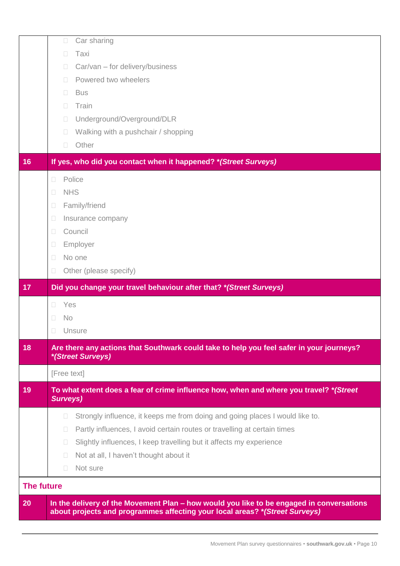|                   | Car sharing<br>$\Box$                                                                                         |
|-------------------|---------------------------------------------------------------------------------------------------------------|
|                   | Taxi<br>П                                                                                                     |
|                   | Car/van - for delivery/business<br>П<br>Powered two wheelers<br>$\Box$                                        |
|                   | <b>Bus</b>                                                                                                    |
|                   | Train<br>$\Box$                                                                                               |
|                   | Underground/Overground/DLR<br>$\Box$                                                                          |
|                   | Walking with a pushchair / shopping<br>$\Box$                                                                 |
|                   | Other<br>$\Box$                                                                                               |
| 16                | If yes, who did you contact when it happened? * (Street Surveys)                                              |
|                   | Police<br>$\Box$                                                                                              |
|                   | <b>NHS</b><br>$\Box$                                                                                          |
|                   | Family/friend<br>$\Box$                                                                                       |
|                   | Insurance company<br>$\Box$                                                                                   |
|                   | Council<br>$\Box$                                                                                             |
|                   | Employer<br>$\Box$                                                                                            |
|                   | No one<br>$\Box$                                                                                              |
|                   | Other (please specify)<br>$\Box$                                                                              |
| 17                | Did you change your travel behaviour after that? * (Street Surveys)                                           |
|                   | Yes<br>$\Box$                                                                                                 |
|                   |                                                                                                               |
|                   | <b>No</b><br>$\Box$                                                                                           |
|                   | Unsure<br>П                                                                                                   |
| 18                | Are there any actions that Southwark could take to help you feel safer in your journeys?<br>*(Street Surveys) |
|                   | [Free text]                                                                                                   |
| 19                | To what extent does a fear of crime influence how, when and where you travel? *(Street<br><b>Surveys)</b>     |
|                   | Strongly influence, it keeps me from doing and going places I would like to.<br>$\mathbb{R}^n$                |
|                   | Partly influences, I avoid certain routes or travelling at certain times<br>$\Box$                            |
|                   | Slightly influences, I keep travelling but it affects my experience<br>$\Box$                                 |
|                   | Not at all, I haven't thought about it<br>$\sim$                                                              |
|                   | Not sure<br>$\Box$                                                                                            |
| <b>The future</b> |                                                                                                               |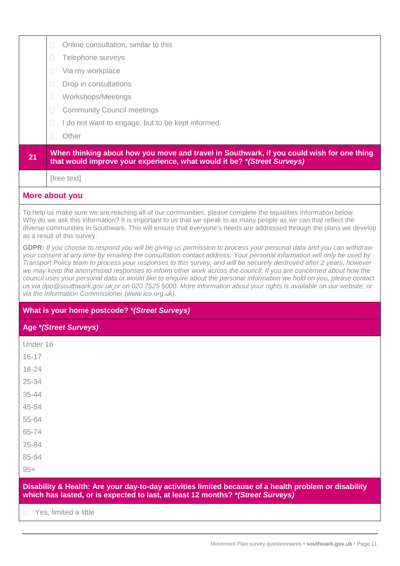|           | Online consultation, similar to this<br>$\Box$                                                                                                                                                                                                                                                                                                                                                                                                                                                                                                                                                                                                                                                                                                                                                   |  |  |  |  |
|-----------|--------------------------------------------------------------------------------------------------------------------------------------------------------------------------------------------------------------------------------------------------------------------------------------------------------------------------------------------------------------------------------------------------------------------------------------------------------------------------------------------------------------------------------------------------------------------------------------------------------------------------------------------------------------------------------------------------------------------------------------------------------------------------------------------------|--|--|--|--|
|           | Telephone surveys<br>$\Box$                                                                                                                                                                                                                                                                                                                                                                                                                                                                                                                                                                                                                                                                                                                                                                      |  |  |  |  |
|           | Via my workplace<br>П                                                                                                                                                                                                                                                                                                                                                                                                                                                                                                                                                                                                                                                                                                                                                                            |  |  |  |  |
|           | Drop in consultations<br>П                                                                                                                                                                                                                                                                                                                                                                                                                                                                                                                                                                                                                                                                                                                                                                       |  |  |  |  |
|           | Workshops/Meetings<br>$\Box$                                                                                                                                                                                                                                                                                                                                                                                                                                                                                                                                                                                                                                                                                                                                                                     |  |  |  |  |
|           | <b>Community Council meetings</b><br>$\Box$                                                                                                                                                                                                                                                                                                                                                                                                                                                                                                                                                                                                                                                                                                                                                      |  |  |  |  |
|           | I do not want to engage, but to be kept informed.<br>$\Box$                                                                                                                                                                                                                                                                                                                                                                                                                                                                                                                                                                                                                                                                                                                                      |  |  |  |  |
|           | Other<br>$\Box$                                                                                                                                                                                                                                                                                                                                                                                                                                                                                                                                                                                                                                                                                                                                                                                  |  |  |  |  |
| 21        | When thinking about how you move and travel in Southwark, if you could wish for one thing<br>that would improve your experience, what would it be? * (Street Surveys)                                                                                                                                                                                                                                                                                                                                                                                                                                                                                                                                                                                                                            |  |  |  |  |
|           | [free text]                                                                                                                                                                                                                                                                                                                                                                                                                                                                                                                                                                                                                                                                                                                                                                                      |  |  |  |  |
|           | More about you                                                                                                                                                                                                                                                                                                                                                                                                                                                                                                                                                                                                                                                                                                                                                                                   |  |  |  |  |
|           | To help us make sure we are reaching all of our communities, please complete the equalities information below.<br>Why do we ask this information? It is important to us that we speak to as many people as we can that reflect the<br>diverse communities in Southwark. This will ensure that everyone's needs are addressed through the plans we develop<br>as a result of this survey.                                                                                                                                                                                                                                                                                                                                                                                                         |  |  |  |  |
|           | GDPR: If you choose to respond you will be giving us permission to process your personal data and you can withdraw<br>your consent at any time by emailing the consultation contact address. Your personal information will only be used by<br>Transport Policy team to process your responses to this survey, and will be securely destroyed after 2 years, however<br>we may keep the anonymised responses to inform other work across the council. If you are concerned about how the<br>council uses your personal data or would like to enquire about the personal information we hold on you, please contact<br>us via dpo @southwark.gov.uk_or on 020 7525 5000. More information about your rights is available on our website, or<br>via the Information Commissioner (www.ico.org.uk). |  |  |  |  |
|           | What is your home postcode? *(Street Surveys)                                                                                                                                                                                                                                                                                                                                                                                                                                                                                                                                                                                                                                                                                                                                                    |  |  |  |  |
|           | <b>Age *(Street Surveys)</b>                                                                                                                                                                                                                                                                                                                                                                                                                                                                                                                                                                                                                                                                                                                                                                     |  |  |  |  |
| Under 16  |                                                                                                                                                                                                                                                                                                                                                                                                                                                                                                                                                                                                                                                                                                                                                                                                  |  |  |  |  |
| $16 - 17$ |                                                                                                                                                                                                                                                                                                                                                                                                                                                                                                                                                                                                                                                                                                                                                                                                  |  |  |  |  |
| $18 - 24$ |                                                                                                                                                                                                                                                                                                                                                                                                                                                                                                                                                                                                                                                                                                                                                                                                  |  |  |  |  |
| $25 - 34$ |                                                                                                                                                                                                                                                                                                                                                                                                                                                                                                                                                                                                                                                                                                                                                                                                  |  |  |  |  |
| $35 - 44$ |                                                                                                                                                                                                                                                                                                                                                                                                                                                                                                                                                                                                                                                                                                                                                                                                  |  |  |  |  |
| 45-54     |                                                                                                                                                                                                                                                                                                                                                                                                                                                                                                                                                                                                                                                                                                                                                                                                  |  |  |  |  |
| 55-64     |                                                                                                                                                                                                                                                                                                                                                                                                                                                                                                                                                                                                                                                                                                                                                                                                  |  |  |  |  |
| 65-74     |                                                                                                                                                                                                                                                                                                                                                                                                                                                                                                                                                                                                                                                                                                                                                                                                  |  |  |  |  |
| 75-84     |                                                                                                                                                                                                                                                                                                                                                                                                                                                                                                                                                                                                                                                                                                                                                                                                  |  |  |  |  |
| 85-94     |                                                                                                                                                                                                                                                                                                                                                                                                                                                                                                                                                                                                                                                                                                                                                                                                  |  |  |  |  |
| $95+$     |                                                                                                                                                                                                                                                                                                                                                                                                                                                                                                                                                                                                                                                                                                                                                                                                  |  |  |  |  |
|           | Disability & Health: Are your day-to-day activities limited because of a health problem or disability<br>which has lasted, or is expected to last, at least 12 months? *(Street Surveys)                                                                                                                                                                                                                                                                                                                                                                                                                                                                                                                                                                                                         |  |  |  |  |
|           |                                                                                                                                                                                                                                                                                                                                                                                                                                                                                                                                                                                                                                                                                                                                                                                                  |  |  |  |  |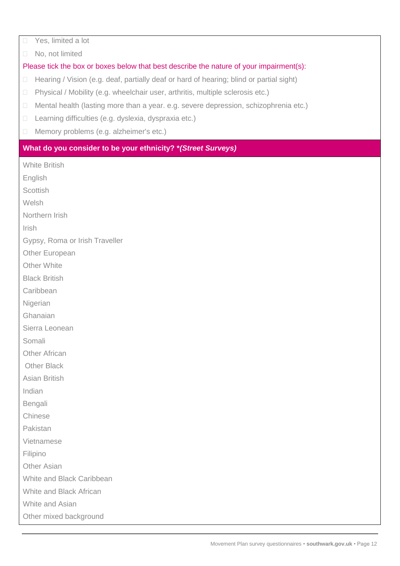□ Yes, limited a lot

No, not limited

# Please tick the box or boxes below that best describe the nature of your impairment(s):

- $\Box$  Hearing / Vision (e.g. deaf, partially deaf or hard of hearing; blind or partial sight)
- Physical / Mobility (e.g. wheelchair user, arthritis, multiple sclerosis etc.)
- □ Mental health (lasting more than a year. e.g. severe depression, schizophrenia etc.)
- □ Learning difficulties (e.g. dyslexia, dyspraxia etc.)
- □ Memory problems (e.g. alzheimer's etc.)

### **What do you consider to be your ethnicity? \****(Street Surveys)*

White British

English

**Scottish** 

Welsh

Northern Irish

Irish

Gypsy, Roma or Irish Traveller

Other European

Other White

Black British

**Caribbean** 

Nigerian

Ghanaian

Sierra Leonean

Somali

Other African

Other Black

Asian British

Indian

Bengali

Chinese

Pakistan

Vietnamese

Filipino

Other Asian

White and Black Caribbean

White and Black African

White and Asian

Other mixed background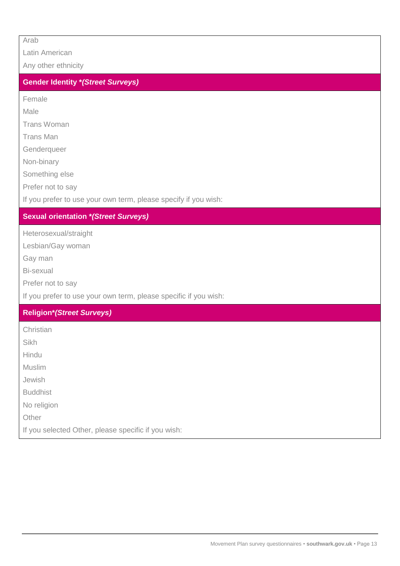Arab

Latin American

Any other ethnicity

# **Gender Identity \****(Street Surveys)*

Female

Male

Trans Woman

Trans Man

Genderqueer

Non-binary

Something else

Prefer not to say

If you prefer to use your own term, please specify if you wish:

### **Sexual orientation \****(Street Surveys)*

Heterosexual/straight

Lesbian/Gay woman

Gay man

Bi-sexual

Prefer not to say

If you prefer to use your own term, please specific if you wish:

# **Religion\****(Street Surveys)*

Christian

Sikh

Hindu

Muslim

Jewish

Buddhist

No religion

**Other** 

If you selected Other, please specific if you wish: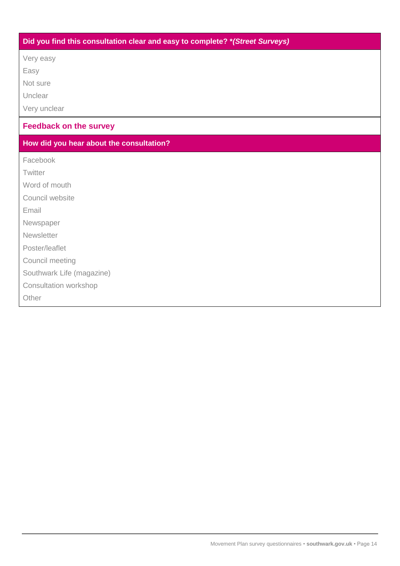# **Did you find this consultation clear and easy to complete? \****(Street Surveys)*

Very easy

Easy

Not sure

Unclear

Very unclear

# **Feedback on the survey**

# **How did you hear about the consultation?**

Facebook

**Twitter** 

Word of mouth

Council website

Email

Newspaper

**Newsletter** 

Poster/leaflet

Council meeting

Southwark Life (magazine)

Consultation workshop

**Other**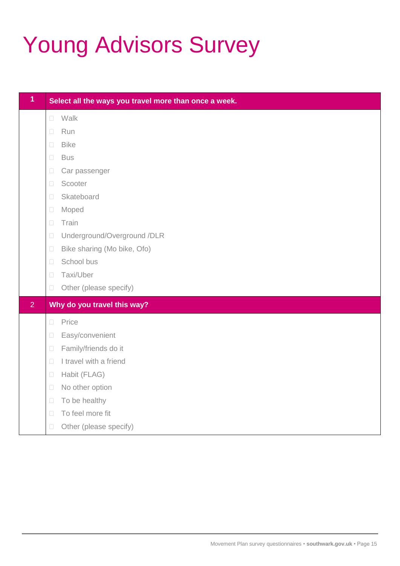# Young Advisors Survey

| $\overline{1}$ | Select all the ways you travel more than once a week. |  |  |  |  |  |
|----------------|-------------------------------------------------------|--|--|--|--|--|
|                | Walk<br>$\Box$                                        |  |  |  |  |  |
|                | Run<br>$\Box$                                         |  |  |  |  |  |
|                | <b>Bike</b><br>$\Box$                                 |  |  |  |  |  |
|                | $\Box$<br><b>Bus</b>                                  |  |  |  |  |  |
|                | Car passenger<br>$\Box$                               |  |  |  |  |  |
|                | Scooter<br>$\Box$                                     |  |  |  |  |  |
|                | Skateboard<br>$\Box$                                  |  |  |  |  |  |
|                | Moped<br>$\Box$                                       |  |  |  |  |  |
|                | Train<br>$\Box$                                       |  |  |  |  |  |
|                | Underground/Overground /DLR<br>$\Box$                 |  |  |  |  |  |
|                | Bike sharing (Mo bike, Ofo)<br>$\Box$                 |  |  |  |  |  |
|                | School bus<br>$\Box$                                  |  |  |  |  |  |
|                | Taxi/Uber<br>$\Box$                                   |  |  |  |  |  |
|                | Other (please specify)<br>$\Box$                      |  |  |  |  |  |
| $\overline{2}$ | Why do you travel this way?                           |  |  |  |  |  |
|                | Price<br>$\Box$                                       |  |  |  |  |  |
|                | Easy/convenient<br>$\Box$                             |  |  |  |  |  |
|                | Family/friends do it<br>$\Box$                        |  |  |  |  |  |
|                | I travel with a friend<br>$\Box$                      |  |  |  |  |  |
|                | Habit (FLAG)<br>$\Box$                                |  |  |  |  |  |
|                | No other option<br>$\Box$                             |  |  |  |  |  |
|                | To be healthy<br>$\Box$                               |  |  |  |  |  |
|                | To feel more fit<br>$\Box$                            |  |  |  |  |  |
|                | Other (please specify)<br>$\Box$                      |  |  |  |  |  |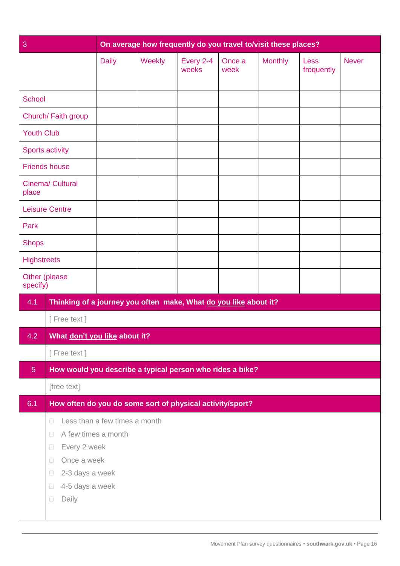| 3                  |                                                                                                                                                                         |                               | On average how frequently do you travel to/visit these places? |                    |                |                |                    |              |
|--------------------|-------------------------------------------------------------------------------------------------------------------------------------------------------------------------|-------------------------------|----------------------------------------------------------------|--------------------|----------------|----------------|--------------------|--------------|
|                    |                                                                                                                                                                         | <b>Daily</b>                  | Weekly                                                         | Every 2-4<br>weeks | Once a<br>week | <b>Monthly</b> | Less<br>frequently | <b>Never</b> |
| <b>School</b>      |                                                                                                                                                                         |                               |                                                                |                    |                |                |                    |              |
|                    | Church/ Faith group                                                                                                                                                     |                               |                                                                |                    |                |                |                    |              |
| <b>Youth Club</b>  |                                                                                                                                                                         |                               |                                                                |                    |                |                |                    |              |
|                    | <b>Sports activity</b>                                                                                                                                                  |                               |                                                                |                    |                |                |                    |              |
|                    | <b>Friends house</b>                                                                                                                                                    |                               |                                                                |                    |                |                |                    |              |
| place              | Cinema/ Cultural                                                                                                                                                        |                               |                                                                |                    |                |                |                    |              |
|                    | <b>Leisure Centre</b>                                                                                                                                                   |                               |                                                                |                    |                |                |                    |              |
| Park               |                                                                                                                                                                         |                               |                                                                |                    |                |                |                    |              |
| <b>Shops</b>       |                                                                                                                                                                         |                               |                                                                |                    |                |                |                    |              |
| <b>Highstreets</b> |                                                                                                                                                                         |                               |                                                                |                    |                |                |                    |              |
| specify)           | Other (please                                                                                                                                                           |                               |                                                                |                    |                |                |                    |              |
| 4.1                | Thinking of a journey you often make, What do you like about it?                                                                                                        |                               |                                                                |                    |                |                |                    |              |
|                    | [Free text]                                                                                                                                                             |                               |                                                                |                    |                |                |                    |              |
| 4.2                | What don't you like about it?                                                                                                                                           |                               |                                                                |                    |                |                |                    |              |
|                    | [Free text]                                                                                                                                                             |                               |                                                                |                    |                |                |                    |              |
| 5 <sub>5</sub>     | How would you describe a typical person who rides a bike?                                                                                                               |                               |                                                                |                    |                |                |                    |              |
|                    | [free text]                                                                                                                                                             |                               |                                                                |                    |                |                |                    |              |
| 6.1                | How often do you do some sort of physical activity/sport?                                                                                                               |                               |                                                                |                    |                |                |                    |              |
|                    | $\Box$<br>A few times a month<br>$\Box$<br>Every 2 week<br>$\Box$<br>Once a week<br>$\Box$<br>2-3 days a week<br>$\Box$<br>4-5 days a week<br>$\Box$<br>Daily<br>$\Box$ | Less than a few times a month |                                                                |                    |                |                |                    |              |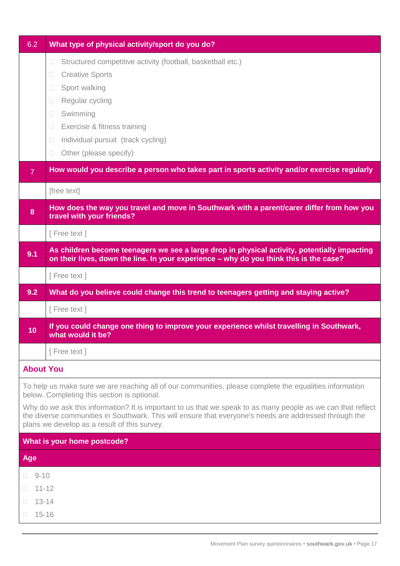| 6.2              | What type of physical activity/sport do you do?                                                                                                                                                                                                                        |
|------------------|------------------------------------------------------------------------------------------------------------------------------------------------------------------------------------------------------------------------------------------------------------------------|
|                  | Structured competitive activity (football, basketball etc.)<br>$\Box$                                                                                                                                                                                                  |
|                  | <b>Creative Sports</b><br>П                                                                                                                                                                                                                                            |
|                  | Sport walking<br>$\Box$                                                                                                                                                                                                                                                |
|                  | Regular cycling<br>$\Box$                                                                                                                                                                                                                                              |
|                  | Swimming<br>$\Box$<br>Exercise & fitness training<br>$\Box$                                                                                                                                                                                                            |
|                  | Individual pursuit (track cycling)<br>$\Box$                                                                                                                                                                                                                           |
|                  | Other (please specify)<br>$\Box$                                                                                                                                                                                                                                       |
| $\overline{7}$   | How would you describe a person who takes part in sports activity and/or exercise regularly                                                                                                                                                                            |
|                  | [free text]                                                                                                                                                                                                                                                            |
| 8                | How does the way you travel and move in Southwark with a parent/carer differ from how you<br>travel with your friends?                                                                                                                                                 |
|                  | [Free text]                                                                                                                                                                                                                                                            |
| 9.1              | As children become teenagers we see a large drop in physical activity, potentially impacting<br>on their lives, down the line. In your experience - why do you think this is the case?                                                                                 |
|                  | [Free text]                                                                                                                                                                                                                                                            |
| 9.2              | What do you believe could change this trend to teenagers getting and staying active?                                                                                                                                                                                   |
|                  | [Free text]                                                                                                                                                                                                                                                            |
| 10               | If you could change one thing to improve your experience whilst travelling in Southwark,<br>what would it be?                                                                                                                                                          |
|                  | [Free text]                                                                                                                                                                                                                                                            |
| <b>About You</b> |                                                                                                                                                                                                                                                                        |
|                  | To help us make sure we are reaching all of our communities, please complete the equalities information<br>below. Completing this section is optional.                                                                                                                 |
|                  | Why do we ask this information? It is important to us that we speak to as many people as we can that reflect<br>the diverse communities in Southwark. This will ensure that everyone's needs are addressed through the<br>plans we develop as a result of this survey. |
|                  | What is your home postcode?                                                                                                                                                                                                                                            |
| <b>Age</b>       |                                                                                                                                                                                                                                                                        |
| $9 - 10$         |                                                                                                                                                                                                                                                                        |
| $11 - 12$        |                                                                                                                                                                                                                                                                        |
| $13 - 14$<br>П   |                                                                                                                                                                                                                                                                        |
| $15 - 16$        |                                                                                                                                                                                                                                                                        |
|                  |                                                                                                                                                                                                                                                                        |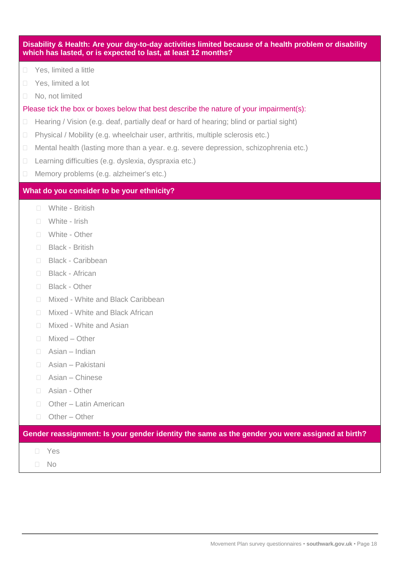| Disability & Health: Are your day-to-day activities limited because of a health problem or disability<br>which has lasted, or is expected to last, at least 12 months? |                                                                                         |                                         |  |
|------------------------------------------------------------------------------------------------------------------------------------------------------------------------|-----------------------------------------------------------------------------------------|-----------------------------------------|--|
| $\Box$                                                                                                                                                                 |                                                                                         | Yes, limited a little                   |  |
| $\Box$                                                                                                                                                                 | Yes, limited a lot                                                                      |                                         |  |
| $\Box$                                                                                                                                                                 | No, not limited                                                                         |                                         |  |
| Please tick the box or boxes below that best describe the nature of your impairment(s):                                                                                |                                                                                         |                                         |  |
| $\Box$                                                                                                                                                                 | Hearing / Vision (e.g. deaf, partially deaf or hard of hearing; blind or partial sight) |                                         |  |
| $\Box$                                                                                                                                                                 | Physical / Mobility (e.g. wheelchair user, arthritis, multiple sclerosis etc.)          |                                         |  |
| $\Box$                                                                                                                                                                 | Mental health (lasting more than a year. e.g. severe depression, schizophrenia etc.)    |                                         |  |
| $\Box$                                                                                                                                                                 | Learning difficulties (e.g. dyslexia, dyspraxia etc.)                                   |                                         |  |
| $\Box$                                                                                                                                                                 |                                                                                         | Memory problems (e.g. alzheimer's etc.) |  |
| What do you consider to be your ethnicity?                                                                                                                             |                                                                                         |                                         |  |
|                                                                                                                                                                        | n.                                                                                      | White - British                         |  |
|                                                                                                                                                                        | $\sim$                                                                                  | White - Irish                           |  |
|                                                                                                                                                                        | П                                                                                       | White - Other                           |  |
|                                                                                                                                                                        | $\Box$                                                                                  | <b>Black - British</b>                  |  |
|                                                                                                                                                                        | n.                                                                                      | <b>Black - Caribbean</b>                |  |
|                                                                                                                                                                        | n.                                                                                      | <b>Black - African</b>                  |  |
|                                                                                                                                                                        | n.                                                                                      | <b>Black - Other</b>                    |  |
|                                                                                                                                                                        | n.                                                                                      | Mixed - White and Black Caribbean       |  |
|                                                                                                                                                                        | $\Box$                                                                                  | Mixed - White and Black African         |  |
|                                                                                                                                                                        | n.                                                                                      | Mixed - White and Asian                 |  |
|                                                                                                                                                                        | П                                                                                       | Mixed - Other                           |  |
|                                                                                                                                                                        | П                                                                                       | Asian - Indian                          |  |
|                                                                                                                                                                        | П                                                                                       | Asian - Pakistani                       |  |
|                                                                                                                                                                        | $\mathcal{L}_{\mathcal{A}}$                                                             | Asian - Chinese                         |  |
|                                                                                                                                                                        | $\mathcal{L}_{\mathcal{A}}$                                                             | Asian - Other                           |  |
|                                                                                                                                                                        | П                                                                                       | Other - Latin American                  |  |
|                                                                                                                                                                        | $\Box$                                                                                  | Other - Other                           |  |
| Gender reassignment: Is your gender identity the same as the gender you were assigned at birth?                                                                        |                                                                                         |                                         |  |
|                                                                                                                                                                        |                                                                                         | Yes                                     |  |
|                                                                                                                                                                        |                                                                                         | No                                      |  |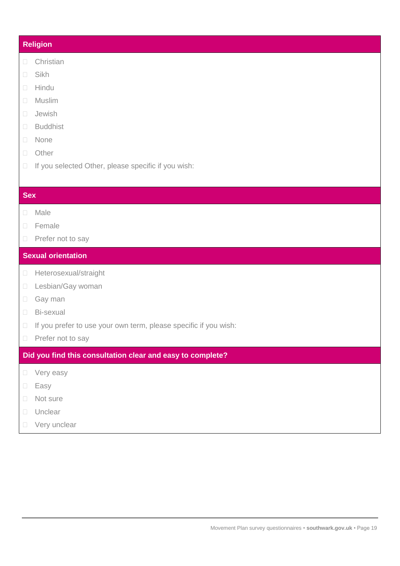# **Religion**

- **Christian**
- □ Sikh
- Hindu
- Muslim
- Jewish
- Buddhist
- None
- n Other
- $\Box$  If you selected Other, please specific if you wish:

# **Sex**

- Male
- □ Female
- **Prefer not to say**

# **Sexual orientation**

- **Heterosexual/straight**
- Lesbian/Gay woman
- Gay man
- Bi-sexual
- □ If you prefer to use your own term, please specific if you wish:
- **Prefer not to say**

**Did you find this consultation clear and easy to complete?**

- D Very easy
- D Easy
- □ Not sure
- D Unclear
- □ Very unclear